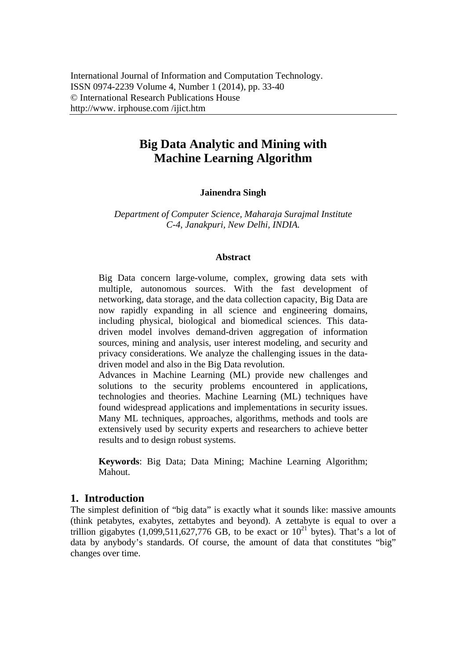# **Big Data Analytic and Mining with Machine Learning Algorithm**

# **Jainendra Singh**

*Department of Computer Science, Maharaja Surajmal Institute C-4, Janakpuri, New Delhi, INDIA.* 

#### **Abstract**

Big Data concern large-volume, complex, growing data sets with multiple, autonomous sources. With the fast development of networking, data storage, and the data collection capacity, Big Data are now rapidly expanding in all science and engineering domains, including physical, biological and biomedical sciences. This datadriven model involves demand-driven aggregation of information sources, mining and analysis, user interest modeling, and security and privacy considerations. We analyze the challenging issues in the datadriven model and also in the Big Data revolution.

Advances in Machine Learning (ML) provide new challenges and solutions to the security problems encountered in applications, technologies and theories. Machine Learning (ML) techniques have found widespread applications and implementations in security issues. Many ML techniques, approaches, algorithms, methods and tools are extensively used by security experts and researchers to achieve better results and to design robust systems.

**Keywords**: Big Data; Data Mining; Machine Learning Algorithm; Mahout.

# **1. Introduction**

The simplest definition of "big data" is exactly what it sounds like: massive amounts (think petabytes, exabytes, zettabytes and beyond). A zettabyte is equal to over a trillion gigabytes  $(1,099,511,627,776$  GB, to be exact or  $10^{21}$  bytes). That's a lot of data by anybody's standards. Of course, the amount of data that constitutes "big" changes over time.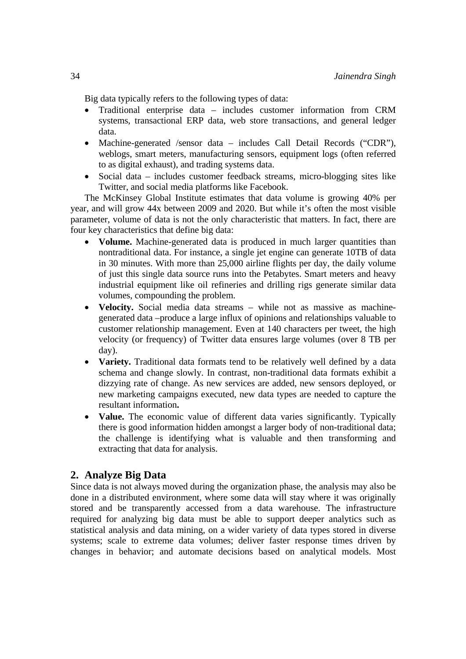Big data typically refers to the following types of data:

- Traditional enterprise data includes customer information from CRM systems, transactional ERP data, web store transactions, and general ledger data.
- Machine-generated /sensor data includes Call Detail Records ("CDR"), weblogs, smart meters, manufacturing sensors, equipment logs (often referred to as digital exhaust), and trading systems data.
- Social data includes customer feedback streams, micro-blogging sites like Twitter, and social media platforms like Facebook.

The McKinsey Global Institute estimates that data volume is growing 40% per year, and will grow 44x between 2009 and 2020. But while it's often the most visible parameter, volume of data is not the only characteristic that matters. In fact, there are four key characteristics that define big data:

- **Volume.** Machine-generated data is produced in much larger quantities than nontraditional data. For instance, a single jet engine can generate 10TB of data in 30 minutes. With more than 25,000 airline flights per day, the daily volume of just this single data source runs into the Petabytes. Smart meters and heavy industrial equipment like oil refineries and drilling rigs generate similar data volumes, compounding the problem.
- **Velocity.** Social media data streams while not as massive as machinegenerated data –produce a large influx of opinions and relationships valuable to customer relationship management. Even at 140 characters per tweet, the high velocity (or frequency) of Twitter data ensures large volumes (over 8 TB per day).
- **Variety.** Traditional data formats tend to be relatively well defined by a data schema and change slowly. In contrast, non-traditional data formats exhibit a dizzying rate of change. As new services are added, new sensors deployed, or new marketing campaigns executed, new data types are needed to capture the resultant information**.**
- **Value.** The economic value of different data varies significantly. Typically there is good information hidden amongst a larger body of non-traditional data; the challenge is identifying what is valuable and then transforming and extracting that data for analysis.

# **2. Analyze Big Data**

Since data is not always moved during the organization phase, the analysis may also be done in a distributed environment, where some data will stay where it was originally stored and be transparently accessed from a data warehouse. The infrastructure required for analyzing big data must be able to support deeper analytics such as statistical analysis and data mining, on a wider variety of data types stored in diverse systems; scale to extreme data volumes; deliver faster response times driven by changes in behavior; and automate decisions based on analytical models. Most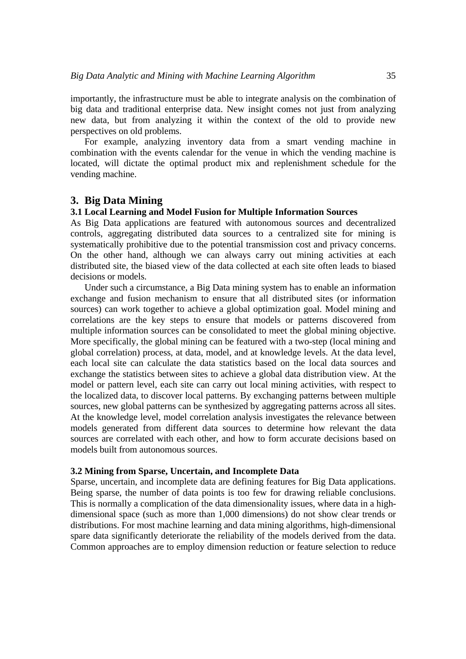importantly, the infrastructure must be able to integrate analysis on the combination of big data and traditional enterprise data. New insight comes not just from analyzing new data, but from analyzing it within the context of the old to provide new perspectives on old problems.

For example, analyzing inventory data from a smart vending machine in combination with the events calendar for the venue in which the vending machine is located, will dictate the optimal product mix and replenishment schedule for the vending machine.

### **3. Big Data Mining**

### **3.1 Local Learning and Model Fusion for Multiple Information Sources**

As Big Data applications are featured with autonomous sources and decentralized controls, aggregating distributed data sources to a centralized site for mining is systematically prohibitive due to the potential transmission cost and privacy concerns. On the other hand, although we can always carry out mining activities at each distributed site, the biased view of the data collected at each site often leads to biased decisions or models.

Under such a circumstance, a Big Data mining system has to enable an information exchange and fusion mechanism to ensure that all distributed sites (or information sources) can work together to achieve a global optimization goal. Model mining and correlations are the key steps to ensure that models or patterns discovered from multiple information sources can be consolidated to meet the global mining objective. More specifically, the global mining can be featured with a two-step (local mining and global correlation) process, at data, model, and at knowledge levels. At the data level, each local site can calculate the data statistics based on the local data sources and exchange the statistics between sites to achieve a global data distribution view. At the model or pattern level, each site can carry out local mining activities, with respect to the localized data, to discover local patterns. By exchanging patterns between multiple sources, new global patterns can be synthesized by aggregating patterns across all sites. At the knowledge level, model correlation analysis investigates the relevance between models generated from different data sources to determine how relevant the data sources are correlated with each other, and how to form accurate decisions based on models built from autonomous sources.

#### **3.2 Mining from Sparse, Uncertain, and Incomplete Data**

Sparse, uncertain, and incomplete data are defining features for Big Data applications. Being sparse, the number of data points is too few for drawing reliable conclusions. This is normally a complication of the data dimensionality issues, where data in a highdimensional space (such as more than 1,000 dimensions) do not show clear trends or distributions. For most machine learning and data mining algorithms, high-dimensional spare data significantly deteriorate the reliability of the models derived from the data. Common approaches are to employ dimension reduction or feature selection to reduce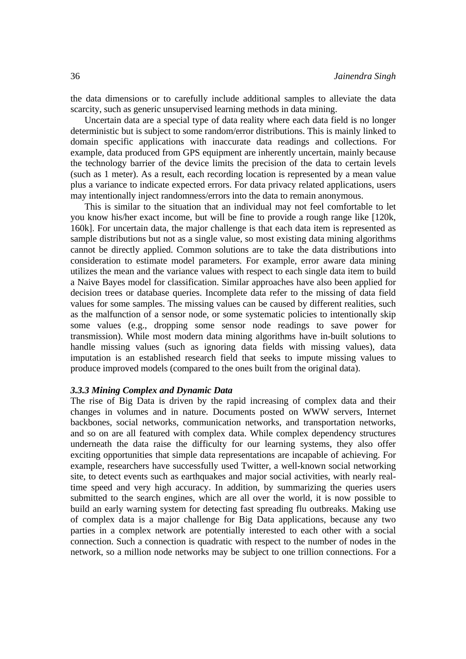the data dimensions or to carefully include additional samples to alleviate the data scarcity, such as generic unsupervised learning methods in data mining.

Uncertain data are a special type of data reality where each data field is no longer deterministic but is subject to some random/error distributions. This is mainly linked to domain specific applications with inaccurate data readings and collections. For example, data produced from GPS equipment are inherently uncertain, mainly because the technology barrier of the device limits the precision of the data to certain levels (such as 1 meter). As a result, each recording location is represented by a mean value plus a variance to indicate expected errors. For data privacy related applications, users may intentionally inject randomness/errors into the data to remain anonymous.

This is similar to the situation that an individual may not feel comfortable to let you know his/her exact income, but will be fine to provide a rough range like [120k, 160k]. For uncertain data, the major challenge is that each data item is represented as sample distributions but not as a single value, so most existing data mining algorithms cannot be directly applied. Common solutions are to take the data distributions into consideration to estimate model parameters. For example, error aware data mining utilizes the mean and the variance values with respect to each single data item to build a Naive Bayes model for classification. Similar approaches have also been applied for decision trees or database queries. Incomplete data refer to the missing of data field values for some samples. The missing values can be caused by different realities, such as the malfunction of a sensor node, or some systematic policies to intentionally skip some values (e.g., dropping some sensor node readings to save power for transmission). While most modern data mining algorithms have in-built solutions to handle missing values (such as ignoring data fields with missing values), data imputation is an established research field that seeks to impute missing values to produce improved models (compared to the ones built from the original data).

#### *3.3.3 Mining Complex and Dynamic Data*

The rise of Big Data is driven by the rapid increasing of complex data and their changes in volumes and in nature. Documents posted on WWW servers, Internet backbones, social networks, communication networks, and transportation networks, and so on are all featured with complex data. While complex dependency structures underneath the data raise the difficulty for our learning systems, they also offer exciting opportunities that simple data representations are incapable of achieving. For example, researchers have successfully used Twitter, a well-known social networking site, to detect events such as earthquakes and major social activities, with nearly realtime speed and very high accuracy. In addition, by summarizing the queries users submitted to the search engines, which are all over the world, it is now possible to build an early warning system for detecting fast spreading flu outbreaks. Making use of complex data is a major challenge for Big Data applications, because any two parties in a complex network are potentially interested to each other with a social connection. Such a connection is quadratic with respect to the number of nodes in the network, so a million node networks may be subject to one trillion connections. For a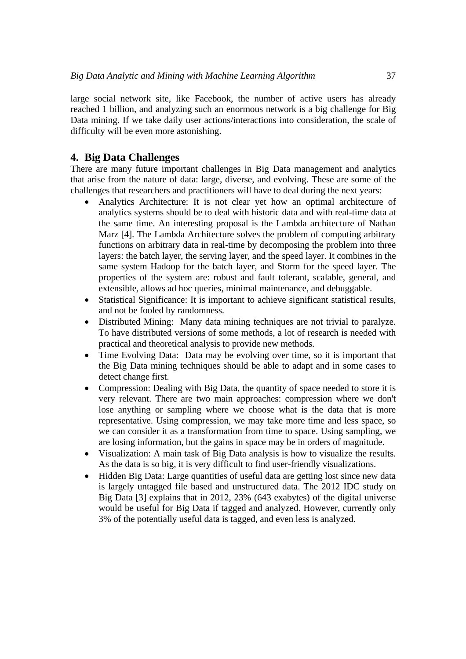large social network site, like Facebook, the number of active users has already reached 1 billion, and analyzing such an enormous network is a big challenge for Big Data mining. If we take daily user actions/interactions into consideration, the scale of difficulty will be even more astonishing.

# **4. Big Data Challenges**

There are many future important challenges in Big Data management and analytics that arise from the nature of data: large, diverse, and evolving. These are some of the challenges that researchers and practitioners will have to deal during the next years:

- Analytics Architecture: It is not clear yet how an optimal architecture of analytics systems should be to deal with historic data and with real-time data at the same time. An interesting proposal is the Lambda architecture of Nathan Marz [4]. The Lambda Architecture solves the problem of computing arbitrary functions on arbitrary data in real-time by decomposing the problem into three layers: the batch layer, the serving layer, and the speed layer. It combines in the same system Hadoop for the batch layer, and Storm for the speed layer. The properties of the system are: robust and fault tolerant, scalable, general, and extensible, allows ad hoc queries, minimal maintenance, and debuggable.
- Statistical Significance: It is important to achieve significant statistical results, and not be fooled by randomness.
- Distributed Mining: Many data mining techniques are not trivial to paralyze. To have distributed versions of some methods, a lot of research is needed with practical and theoretical analysis to provide new methods.
- Time Evolving Data: Data may be evolving over time, so it is important that the Big Data mining techniques should be able to adapt and in some cases to detect change first.
- Compression: Dealing with Big Data, the quantity of space needed to store it is very relevant. There are two main approaches: compression where we don't lose anything or sampling where we choose what is the data that is more representative. Using compression, we may take more time and less space, so we can consider it as a transformation from time to space. Using sampling, we are losing information, but the gains in space may be in orders of magnitude.
- Visualization: A main task of Big Data analysis is how to visualize the results. As the data is so big, it is very difficult to find user-friendly visualizations.
- Hidden Big Data: Large quantities of useful data are getting lost since new data is largely untagged file based and unstructured data. The 2012 IDC study on Big Data [3] explains that in 2012, 23% (643 exabytes) of the digital universe would be useful for Big Data if tagged and analyzed. However, currently only 3% of the potentially useful data is tagged, and even less is analyzed.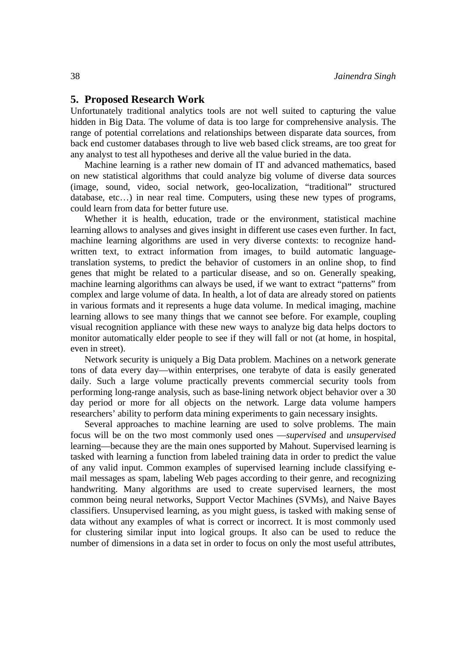## **5. Proposed Research Work**

Unfortunately traditional analytics tools are not well suited to capturing the value hidden in Big Data. The volume of data is too large for comprehensive analysis. The range of potential correlations and relationships between disparate data sources, from back end customer databases through to live web based click streams, are too great for any analyst to test all hypotheses and derive all the value buried in the data.

Machine learning is a rather new domain of IT and advanced mathematics, based on new statistical algorithms that could analyze big volume of diverse data sources (image, sound, video, social network, geo-localization, "traditional" structured database, etc…) in near real time. Computers, using these new types of programs, could learn from data for better future use.

Whether it is health, education, trade or the environment, statistical machine learning allows to analyses and gives insight in different use cases even further. In fact, machine learning algorithms are used in very diverse contexts: to recognize handwritten text, to extract information from images, to build automatic languagetranslation systems, to predict the behavior of customers in an online shop, to find genes that might be related to a particular disease, and so on. Generally speaking, machine learning algorithms can always be used, if we want to extract "patterns" from complex and large volume of data. In health, a lot of data are already stored on patients in various formats and it represents a huge data volume. In medical imaging, machine learning allows to see many things that we cannot see before. For example, coupling visual recognition appliance with these new ways to analyze big data helps doctors to monitor automatically elder people to see if they will fall or not (at home, in hospital, even in street).

Network security is uniquely a Big Data problem. Machines on a network generate tons of data every day—within enterprises, one terabyte of data is easily generated daily. Such a large volume practically prevents commercial security tools from performing long-range analysis, such as base-lining network object behavior over a 30 day period or more for all objects on the network. Large data volume hampers researchers' ability to perform data mining experiments to gain necessary insights.

Several approaches to machine learning are used to solve problems. The main focus will be on the two most commonly used ones —*supervised* and *unsupervised* learning—because they are the main ones supported by Mahout. Supervised learning is tasked with learning a function from labeled training data in order to predict the value of any valid input. Common examples of supervised learning include classifying email messages as spam, labeling Web pages according to their genre, and recognizing handwriting. Many algorithms are used to create supervised learners, the most common being neural networks, Support Vector Machines (SVMs), and Naive Bayes classifiers. Unsupervised learning, as you might guess, is tasked with making sense of data without any examples of what is correct or incorrect. It is most commonly used for clustering similar input into logical groups. It also can be used to reduce the number of dimensions in a data set in order to focus on only the most useful attributes,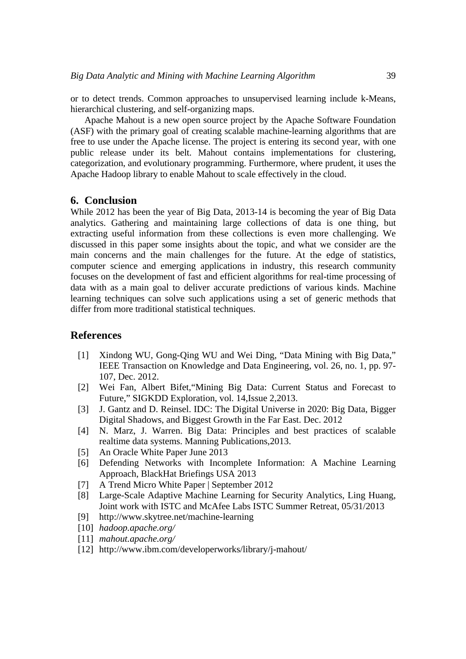or to detect trends. Common approaches to unsupervised learning include k-Means, hierarchical clustering, and self-organizing maps.

Apache Mahout is a new open source project by the Apache Software Foundation (ASF) with the primary goal of creating scalable machine-learning algorithms that are free to use under the Apache license. The project is entering its second year, with one public release under its belt. Mahout contains implementations for clustering, categorization, and evolutionary programming. Furthermore, where prudent, it uses the Apache Hadoop library to enable Mahout to scale effectively in the cloud.

### **6. Conclusion**

While 2012 has been the year of Big Data, 2013-14 is becoming the year of Big Data analytics. Gathering and maintaining large collections of data is one thing, but extracting useful information from these collections is even more challenging. We discussed in this paper some insights about the topic, and what we consider are the main concerns and the main challenges for the future. At the edge of statistics, computer science and emerging applications in industry, this research community focuses on the development of fast and efficient algorithms for real-time processing of data with as a main goal to deliver accurate predictions of various kinds. Machine learning techniques can solve such applications using a set of generic methods that differ from more traditional statistical techniques.

### **References**

- [1] Xindong WU, Gong-Qing WU and Wei Ding, "Data Mining with Big Data," IEEE Transaction on Knowledge and Data Engineering, vol. 26, no. 1, pp. 97- 107, Dec. 2012.
- [2] Wei Fan, Albert Bifet,"Mining Big Data: Current Status and Forecast to Future," SIGKDD Exploration, vol. 14,Issue 2,2013.
- [3] J. Gantz and D. Reinsel. IDC: The Digital Universe in 2020: Big Data, Bigger Digital Shadows, and Biggest Growth in the Far East. Dec. 2012
- [4] N. Marz, J. Warren. Big Data: Principles and best practices of scalable realtime data systems. Manning Publications,2013.
- [5] An Oracle White Paper June 2013
- [6] Defending Networks with Incomplete Information: A Machine Learning Approach, BlackHat Briefings USA 2013
- [7] A Trend Micro White Paper | September 2012
- [8] Large-Scale Adaptive Machine Learning for Security Analytics, Ling Huang, Joint work with ISTC and McAfee Labs ISTC Summer Retreat, 05/31/2013
- [9] http://www.skytree.net/machine-learning
- [10] *hadoop.apache.org/*
- [11] *mahout.apache.org/*
- [12] http://www.ibm.com/developerworks/library/j-mahout/